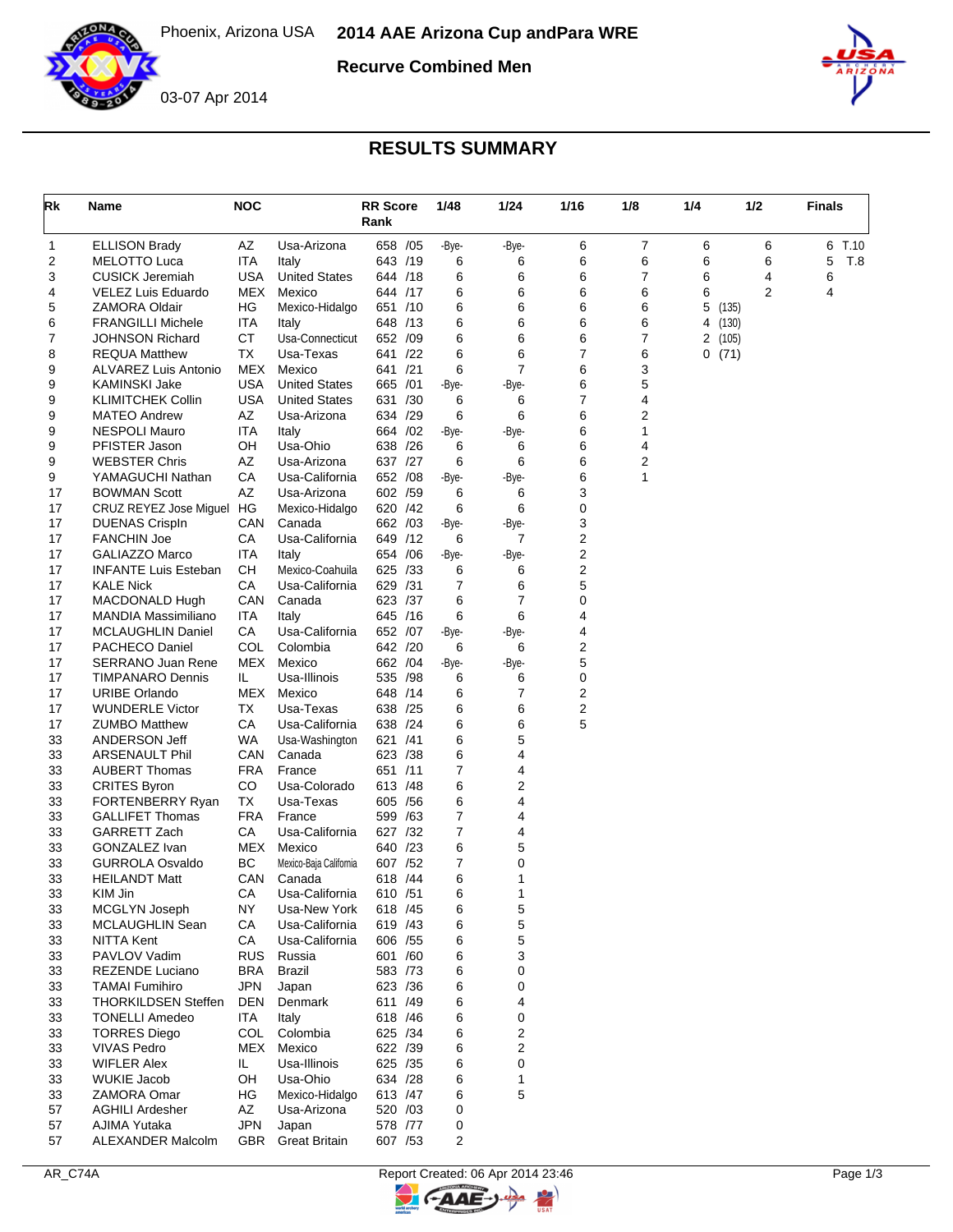

**Recurve Combined Men**



## 03-07 Apr 2014

## **RESULTS SUMMARY**

| Rk       | Name                                           | <b>NOC</b> |                                | <b>RR Score</b><br>Rank |     | 1/48       | 1/24           | 1/16   | 1/8    | 1/4 | 1/2              | <b>Finals</b> |
|----------|------------------------------------------------|------------|--------------------------------|-------------------------|-----|------------|----------------|--------|--------|-----|------------------|---------------|
| 1        | <b>ELLISON Brady</b>                           | AZ         | Usa-Arizona                    | 658 /05                 |     | -Bye-      | -Bye-          | 6      | 7      | 6   | 6                | 6<br>T.10     |
| 2        | MELOTTO Luca                                   | ITA        | Italy                          | 643 /19                 |     | 6          | 6              | 6      | 6      | 6   | 6                | 5<br>T.8      |
| 3        | <b>CUSICK Jeremiah</b>                         | <b>USA</b> | <b>United States</b>           | 644 /18                 |     | 6          | 6              | 6      | 7      | 6   | 4                | 6             |
| 4        | VELEZ Luis Eduardo                             | MEX        | Mexico                         | 644 /17                 |     | 6          | 6              | 6      | 6      | 6   | 2                | 4             |
| 5        | <b>ZAMORA Oldair</b>                           | ΗG         | Mexico-Hidalgo                 | 651 /10                 |     | 6          | 6              | 6      | 6      | 5   | (135)            |               |
| 6        | <b>FRANGILLI Michele</b>                       | <b>ITA</b> | Italy                          | 648 /13                 |     | 6          | 6              | 6      | 6      |     | 4 (130)          |               |
| 7<br>8   | <b>JOHNSON Richard</b><br><b>REQUA Matthew</b> | СT<br>ТX   | Usa-Connecticut<br>Usa-Texas   | 652 /09<br>641 /22      |     | 6<br>6     | 6<br>6         | 6<br>7 | 7<br>6 |     | 2 (105)<br>0(71) |               |
| 9        | ALVAREZ Luis Antonio                           | MEX        | Mexico                         | 641 /21                 |     | 6          | $\overline{7}$ | 6      | 3      |     |                  |               |
| 9        | KAMINSKI Jake                                  | <b>USA</b> | <b>United States</b>           | 665 /01                 |     | -Bye-      | -Bye-          | 6      | 5      |     |                  |               |
| 9        | KLIMITCHEK Collin                              | <b>USA</b> | <b>United States</b>           | 631 /30                 |     | 6          | 6              | 7      | 4      |     |                  |               |
| 9        | <b>MATEO Andrew</b>                            | AZ         | Usa-Arizona                    | 634 /29                 |     | 6          | 6              | 6      | 2      |     |                  |               |
| 9        | <b>NESPOLI Mauro</b>                           | ITA        | Italy                          | 664 / 02                |     | -Bye-      | -Bye-          | 6      | 1      |     |                  |               |
| 9        | PFISTER Jason                                  | OН         | Usa-Ohio                       | 638 /26                 |     | 6          | 6              | 6      | 4      |     |                  |               |
| 9        | <b>WEBSTER Chris</b>                           | AΖ         | Usa-Arizona                    | 637 /27                 |     | 6          | 6              | 6      | 2      |     |                  |               |
| 9        | YAMAGUCHI Nathan                               | CA         | Usa-California                 | 652 /08                 |     | -Bye-      | -Bye-          | 6      | 1      |     |                  |               |
| 17       | <b>BOWMAN Scott</b>                            | AΖ         | Usa-Arizona                    | 602 /59                 |     | 6          | 6              | 3      |        |     |                  |               |
| 17       | CRUZ REYEZ Jose Miguel                         | HG         | Mexico-Hidalgo                 | 620 /42                 |     | 6          | 6              | 0      |        |     |                  |               |
| 17<br>17 | <b>DUENAS Crispln</b><br><b>FANCHIN Joe</b>    | CAN<br>CА  | Canada<br>Usa-California       | 662 /03<br>649 /12      |     | -Bye-<br>6 | -Bye-<br>7     | 3<br>2 |        |     |                  |               |
| 17       | <b>GALIAZZO Marco</b>                          | ITA        | Italy                          | 654 / 06                |     | -Bye-      | -Bye-          | 2      |        |     |                  |               |
| 17       | <b>INFANTE Luis Esteban</b>                    | CН         | Mexico-Coahuila                | 625 /33                 |     | 6          | 6              | 2      |        |     |                  |               |
| 17       | <b>KALE Nick</b>                               | CА         | Usa-California                 | 629                     | /31 | 7          | 6              | 5      |        |     |                  |               |
| 17       | MACDONALD Hugh                                 | CAN        | Canada                         | 623 /37                 |     | 6          | $\overline{7}$ | 0      |        |     |                  |               |
| 17       | MANDIA Massimiliano                            | ITA        | Italy                          | 645 /16                 |     | 6          | 6              | 4      |        |     |                  |               |
| 17       | <b>MCLAUGHLIN Daniel</b>                       | CA         | Usa-California                 | 652 /07                 |     | -Bye-      | -Bye-          | 4      |        |     |                  |               |
| 17       | PACHECO Daniel                                 | COL        | Colombia                       | 642 /20                 |     | 6          | 6              | 2      |        |     |                  |               |
| 17       | <b>SERRANO Juan Rene</b>                       | MEX        | Mexico                         | 662 / 04                |     | -Bye-      | -Bye-          | 5      |        |     |                  |               |
| 17       | <b>TIMPANARO Dennis</b>                        | IL.        | Usa-Illinois                   | 535                     | /98 | 6          | 6              | 0      |        |     |                  |               |
| 17       | <b>URIBE Orlando</b>                           | MEX        | Mexico                         | 648 /14                 |     | 6          | 7              | 2      |        |     |                  |               |
| 17<br>17 | <b>WUNDERLE Victor</b><br><b>ZUMBO Matthew</b> | ТX<br>CA   | Usa-Texas<br>Usa-California    | 638 /25<br>638 /24      |     | 6<br>6     | 6<br>6         | 2<br>5 |        |     |                  |               |
| 33       | ANDERSON Jeff                                  | WA         | Usa-Washington                 | 621 /41                 |     | 6          | 5              |        |        |     |                  |               |
| 33       | <b>ARSENAULT Phil</b>                          | CAN        | Canada                         | 623 /38                 |     | 6          | 4              |        |        |     |                  |               |
| 33       | <b>AUBERT Thomas</b>                           | FRA        | France                         | 651 /11                 |     | 7          | 4              |        |        |     |                  |               |
| 33       | <b>CRITES Byron</b>                            | CO         | Usa-Colorado                   | 613 / 48                |     | 6          | 2              |        |        |     |                  |               |
| 33       | FORTENBERRY Ryan                               | TX         | Usa-Texas                      | 605 / 56                |     | 6          | 4              |        |        |     |                  |               |
| 33       | <b>GALLIFET Thomas</b>                         | FRA        | France                         | 599 /63                 |     | 7          | 4              |        |        |     |                  |               |
| 33       | GARRETT Zach                                   | СA         | Usa-California                 | 627 /32                 |     | 7          | 4              |        |        |     |                  |               |
| 33       | GONZALEZ Ivan                                  | MEX        | Mexico                         | 640 /23                 |     | 6          | 5              |        |        |     |                  |               |
| 33       | <b>GURROLA Osvaldo</b>                         | BC         | Mexico-Baja California         | 607 /52                 |     | 7          | 0              |        |        |     |                  |               |
| 33       | <b>HEILANDT Matt</b>                           | CAN        | Canada                         | 618 / 44                |     | 6          | 1              |        |        |     |                  |               |
| 33<br>33 | KIM Jin<br>MCGLYN Joseph                       | CА<br>NY   | Usa-California<br>Usa-New York | 610 /51<br>618 / 45     |     | 6<br>6     | 1<br>5         |        |        |     |                  |               |
| 33       | MCLAUGHLIN Sean                                | CA         | Usa-California                 | 619 /43                 |     | 6          | 5              |        |        |     |                  |               |
| 33       | NITTA Kent                                     | CA         | Usa-California                 | 606 / 55                |     | 6          | 5              |        |        |     |                  |               |
| 33       | PAVLOV Vadim                                   | <b>RUS</b> | Russia                         | 601 /60                 |     | 6          | 3              |        |        |     |                  |               |
| 33       | REZENDE Luciano                                | <b>BRA</b> | <b>Brazil</b>                  | 583 /73                 |     | 6          | 0              |        |        |     |                  |               |
| 33       | <b>TAMAI</b> Fumihiro                          | <b>JPN</b> | Japan                          | 623 /36                 |     | 6          | 0              |        |        |     |                  |               |
| 33       | <b>THORKILDSEN Steffen</b>                     | DEN        | Denmark                        | 611 /49                 |     | 6          | 4              |        |        |     |                  |               |
| 33       | <b>TONELLI Amedeo</b>                          | ITA.       | Italy                          | 618 / 46                |     | 6          | 0              |        |        |     |                  |               |
| 33       | <b>TORRES Diego</b>                            | <b>COL</b> | Colombia                       | 625 /34                 |     | 6          | 2              |        |        |     |                  |               |
| 33       | <b>VIVAS Pedro</b>                             | MEX        | Mexico                         | 622 /39                 |     | 6          | 2              |        |        |     |                  |               |
| 33       | <b>WIFLER Alex</b>                             | IL.        | Usa-Illinois                   | 625 /35                 |     | 6          | 0              |        |        |     |                  |               |
| 33<br>33 | <b>WUKIE Jacob</b><br>ZAMORA Omar              | OН<br>HG   | Usa-Ohio<br>Mexico-Hidalgo     | 634 /28<br>613 /47      |     | 6<br>6     | 1<br>5         |        |        |     |                  |               |
| 57       | <b>AGHILI Ardesher</b>                         | AZ         | Usa-Arizona                    | 520 /03                 |     | 0          |                |        |        |     |                  |               |
| 57       | AJIMA Yutaka                                   | <b>JPN</b> | Japan                          | 578 /77                 |     | 0          |                |        |        |     |                  |               |
| 57       | <b>ALEXANDER Malcolm</b>                       | GBR        | <b>Great Britain</b>           | 607 /53                 |     | 2          |                |        |        |     |                  |               |



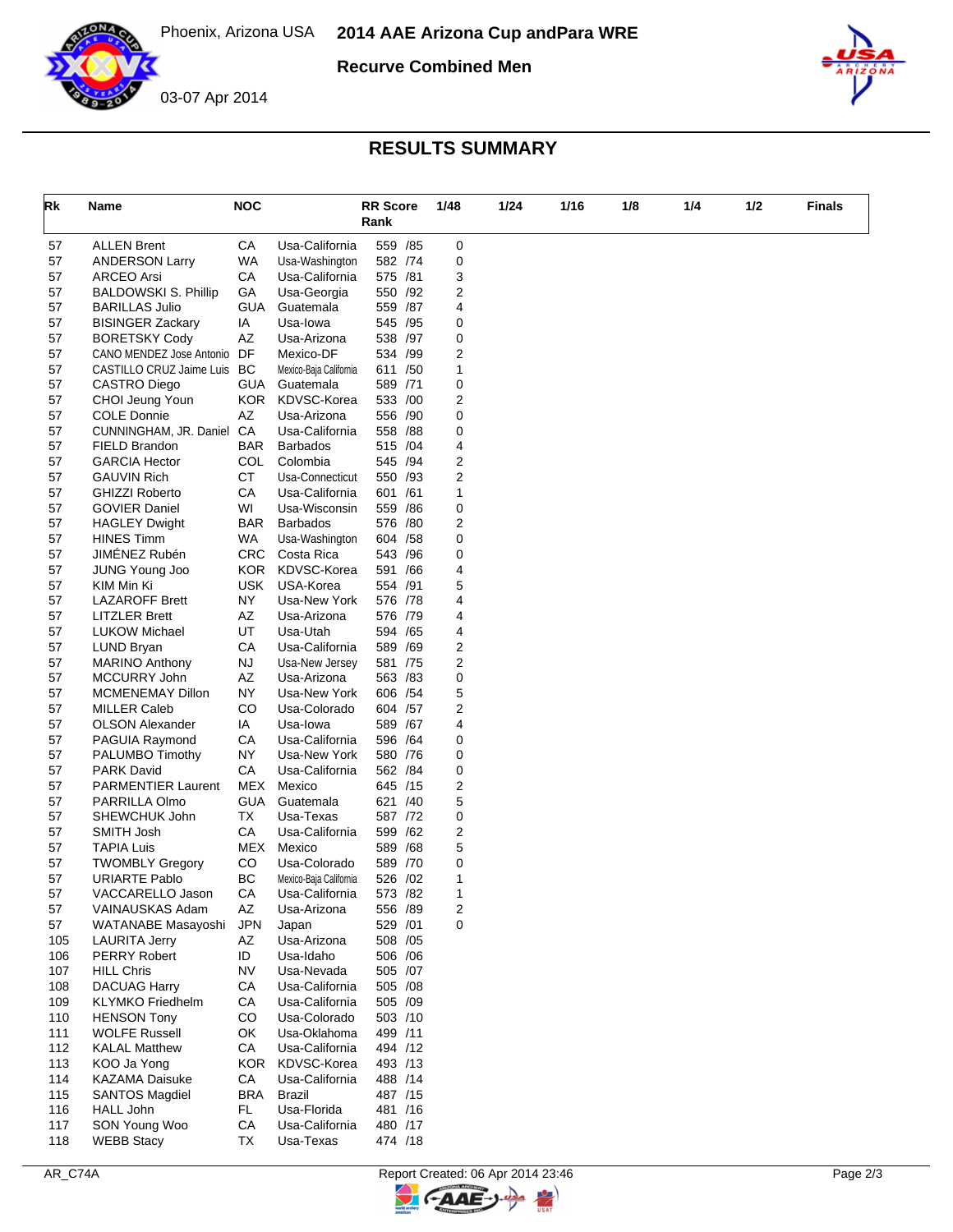

**Recurve Combined Men**



## **RESULTS SUMMARY**

| Rk         | Name                                                    | <b>NOC</b>              |                                   | <b>RR</b> Score<br>Rank |     | 1/48   | 1/24 | 1/16 | 1/8 | 1/4 | 1/2 | <b>Finals</b> |
|------------|---------------------------------------------------------|-------------------------|-----------------------------------|-------------------------|-----|--------|------|------|-----|-----|-----|---------------|
| 57         | <b>ALLEN Brent</b>                                      | CA                      | Usa-California                    | 559 /85                 |     | 0      |      |      |     |     |     |               |
| 57         | <b>ANDERSON Larry</b>                                   | WA                      | Usa-Washington                    | 582 /74                 |     | 0      |      |      |     |     |     |               |
| 57         | <b>ARCEO Arsi</b>                                       | СA                      | Usa-California                    | 575 /81                 |     | 3      |      |      |     |     |     |               |
| 57         | <b>BALDOWSKI S. Phillip</b>                             | GA                      | Usa-Georgia                       | 550 /92                 |     | 2      |      |      |     |     |     |               |
| 57         | <b>BARILLAS Julio</b>                                   | GUA                     | Guatemala                         | 559 /87                 |     | 4      |      |      |     |     |     |               |
| 57         | <b>BISINGER Zackary</b>                                 | ΙA                      | Usa-lowa                          | 545 /95                 |     | 0      |      |      |     |     |     |               |
| 57         | <b>BORETSKY Cody</b>                                    | AZ<br>DF                | Usa-Arizona<br>Mexico-DF          | 538 /97<br>534 /99      |     | 0<br>2 |      |      |     |     |     |               |
| 57<br>57   | CANO MENDEZ Jose Antonio<br>CASTILLO CRUZ Jaime Luis BC |                         | Mexico-Baja California            | 611 /50                 |     | 1      |      |      |     |     |     |               |
| 57         | CASTRO Diego                                            | <b>GUA</b>              | Guatemala                         | 589 /71                 |     | 0      |      |      |     |     |     |               |
| 57         | CHOI Jeung Youn                                         | KOR.                    | KDVSC-Korea                       | 533 /00                 |     | 2      |      |      |     |     |     |               |
| 57         | <b>COLE Donnie</b>                                      | AZ                      | Usa-Arizona                       | 556 /90                 |     | 0      |      |      |     |     |     |               |
| 57         | CUNNINGHAM, JR. Daniel                                  | CA                      | Usa-California                    | 558 /88                 |     | 0      |      |      |     |     |     |               |
| 57         | FIELD Brandon                                           | <b>BAR</b>              | <b>Barbados</b>                   | 515 /04                 |     | 4      |      |      |     |     |     |               |
| 57         | <b>GARCIA Hector</b>                                    | COL                     | Colombia                          | 545 /94                 |     | 2      |      |      |     |     |     |               |
| 57         | <b>GAUVIN Rich</b>                                      | CT                      | Usa-Connecticut                   | 550 /93                 |     | 2      |      |      |     |     |     |               |
| 57         | <b>GHIZZI Roberto</b>                                   | CA                      | Usa-California                    | 601 /61                 |     | 1      |      |      |     |     |     |               |
| 57         | <b>GOVIER Daniel</b>                                    | WI                      | Usa-Wisconsin                     | 559 /86                 |     | 0      |      |      |     |     |     |               |
| 57<br>57   | <b>HAGLEY Dwight</b><br><b>HINES Timm</b>               | <b>BAR</b><br><b>WA</b> | <b>Barbados</b>                   | 576 /80<br>604 / 58     |     | 2<br>0 |      |      |     |     |     |               |
| 57         | JIMÉNEZ Rubén                                           | <b>CRC</b>              | Usa-Washington<br>Costa Rica      | 543                     | /96 | 0      |      |      |     |     |     |               |
| 57         | <b>JUNG Young Joo</b>                                   | KOR.                    | KDVSC-Korea                       | 591 /66                 |     | 4      |      |      |     |     |     |               |
| 57         | KIM Min Ki                                              | <b>USK</b>              | USA-Korea                         | 554 /91                 |     | 5      |      |      |     |     |     |               |
| 57         | <b>LAZAROFF Brett</b>                                   | NY                      | Usa-New York                      | 576 /78                 |     | 4      |      |      |     |     |     |               |
| 57         | <b>LITZLER Brett</b>                                    | AZ                      | Usa-Arizona                       | 576 /79                 |     | 4      |      |      |     |     |     |               |
| 57         | <b>LUKOW Michael</b>                                    | UT                      | Usa-Utah                          | 594 /65                 |     | 4      |      |      |     |     |     |               |
| 57         | LUND Bryan                                              | СA                      | Usa-California                    | 589 /69                 |     | 2      |      |      |     |     |     |               |
| 57         | <b>MARINO Anthony</b>                                   | <b>NJ</b>               | Usa-New Jersey                    | 581 /75                 |     | 2      |      |      |     |     |     |               |
| 57         | MCCURRY John                                            | AZ                      | Usa-Arizona                       | 563 /83                 |     | 0      |      |      |     |     |     |               |
| 57         | MCMENEMAY Dillon                                        | NY                      | Usa-New York                      | 606 / 54                |     | 5      |      |      |     |     |     |               |
| 57<br>57   | <b>MILLER Caleb</b><br><b>OLSON Alexander</b>           | CO<br>IA                | Usa-Colorado<br>Usa-lowa          | 604 /57<br>589 /67      |     | 2<br>4 |      |      |     |     |     |               |
| 57         | PAGUIA Raymond                                          | CA                      | Usa-California                    | 596 /64                 |     | 0      |      |      |     |     |     |               |
| 57         | PALUMBO Timothy                                         | <b>NY</b>               | Usa-New York                      | 580 /76                 |     | 0      |      |      |     |     |     |               |
| 57         | <b>PARK David</b>                                       | CA                      | Usa-California                    | 562 / 84                |     | 0      |      |      |     |     |     |               |
| 57         | <b>PARMENTIER Laurent</b>                               | MEX                     | Mexico                            | 645 /15                 |     | 2      |      |      |     |     |     |               |
| 57         | PARRILLA Olmo                                           | GUA                     | Guatemala                         | 621 /40                 |     | 5      |      |      |     |     |     |               |
| 57         | SHEWCHUK John                                           | TX                      | Usa-Texas                         | 587 /72                 |     | 0      |      |      |     |     |     |               |
| 57         | SMITH Josh                                              | CA                      | Usa-California                    | 599 /62                 |     | 2      |      |      |     |     |     |               |
| 57         | <b>TAPIA Luis</b>                                       | MEX                     | Mexico                            | 589 /68                 |     | 5      |      |      |     |     |     |               |
| 57         | <b>TWOMBLY Gregory</b>                                  | CO                      | Usa-Colorado                      | 589 /70                 |     | 0      |      |      |     |     |     |               |
| 57         | <b>URIARTE Pablo</b>                                    | ВC                      | Mexico-Baja California            | 526 /02                 |     | 1      |      |      |     |     |     |               |
| 57<br>57   | VACCARELLO Jason<br>VAINAUSKAS Adam                     | CА<br>AZ                | Usa-California<br>Usa-Arizona     | 573 / 82<br>556 /89     |     | 1<br>2 |      |      |     |     |     |               |
| 57         | WATANABE Masayoshi                                      | <b>JPN</b>              | Japan                             | 529 /01                 |     | 0      |      |      |     |     |     |               |
| 105        | <b>LAURITA Jerry</b>                                    | AZ                      | Usa-Arizona                       | 508 /05                 |     |        |      |      |     |     |     |               |
| 106        | <b>PERRY Robert</b>                                     | ID                      | Usa-Idaho                         | 506 / 06                |     |        |      |      |     |     |     |               |
| 107        | <b>HILL Chris</b>                                       | <b>NV</b>               | Usa-Nevada                        | 505 /07                 |     |        |      |      |     |     |     |               |
| 108        | <b>DACUAG Harry</b>                                     | CA                      | Usa-California                    | 505 /08                 |     |        |      |      |     |     |     |               |
| 109        | <b>KLYMKO Friedhelm</b>                                 | CA                      | Usa-California                    | 505 /09                 |     |        |      |      |     |     |     |               |
| 110        | <b>HENSON Tony</b>                                      | CO                      | Usa-Colorado                      | 503 /10                 |     |        |      |      |     |     |     |               |
| 111        | <b>WOLFE Russell</b>                                    | OK                      | Usa-Oklahoma                      | 499 /11                 |     |        |      |      |     |     |     |               |
| 112        | <b>KALAL Matthew</b>                                    | СA                      | Usa-California                    | 494 /12                 |     |        |      |      |     |     |     |               |
| 113<br>114 | KOO Ja Yong<br><b>KAZAMA Daisuke</b>                    | CA                      | KOR KDVSC-Korea<br>Usa-California | 493 /13<br>488 /14      |     |        |      |      |     |     |     |               |
| 115        | <b>SANTOS Magdiel</b>                                   | BRA                     | Brazil                            | 487 /15                 |     |        |      |      |     |     |     |               |
| 116        | HALL John                                               | FL.                     | Usa-Florida                       | 481 /16                 |     |        |      |      |     |     |     |               |
| 117        | SON Young Woo                                           | CA                      | Usa-California                    | 480 /17                 |     |        |      |      |     |     |     |               |
| 118        | <b>WEBB Stacy</b>                                       | ТX                      | Usa-Texas                         | 474 /18                 |     |        |      |      |     |     |     |               |